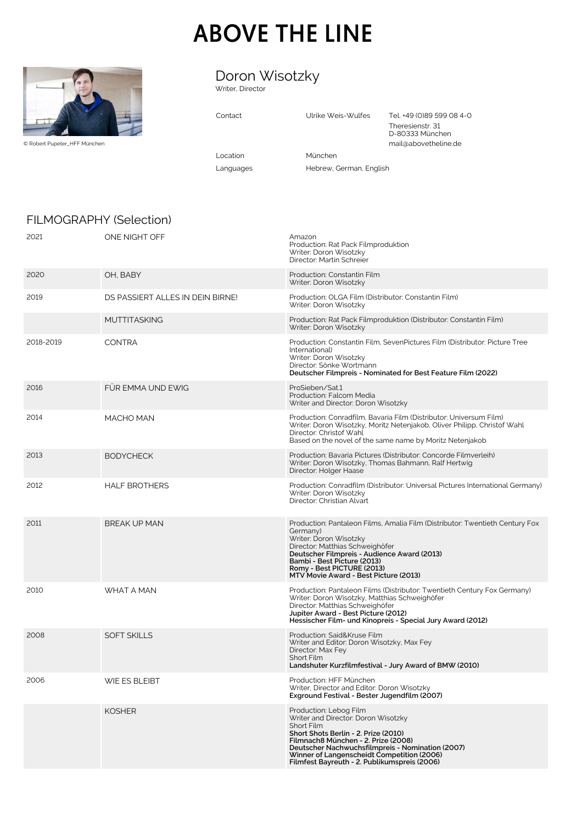# **ABOVE THE LINE**



© Robert Pupeter\_HFF München

# Doron Wisotzky

Writer, Director

| Contact   | Ulrike Weis-Wulfes      | Tel. +49 (0)89 599 08 4-0<br>Theresienstr. 31<br>D-80333 München<br>mail@abovetheline.de |
|-----------|-------------------------|------------------------------------------------------------------------------------------|
| l ocation | München                 |                                                                                          |
| Languages | Hebrew, German, English |                                                                                          |
|           |                         |                                                                                          |

## FILMOGRAPHY (Selection)

| 2021      | ONE NIGHT OFF                    | Amazon<br>Production: Rat Pack Filmproduktion<br>Writer: Doron Wisotzky<br>Director: Martin Schreier                                                                                                                                                                                                                |
|-----------|----------------------------------|---------------------------------------------------------------------------------------------------------------------------------------------------------------------------------------------------------------------------------------------------------------------------------------------------------------------|
| 2020      | OH, BABY                         | Production: Constantin Film<br>Writer: Doron Wisotzky                                                                                                                                                                                                                                                               |
| 2019      | DS PASSIERT ALLES IN DEIN BIRNE! | Production: OLGA Film (Distributor: Constantin Film)<br>Writer: Doron Wisotzky                                                                                                                                                                                                                                      |
|           | <b>MUTTITASKING</b>              | Production: Rat Pack Filmproduktion (Distributor: Constantin Film)<br>Writer: Doron Wisotzky                                                                                                                                                                                                                        |
| 2018-2019 | <b>CONTRA</b>                    | Production: Constantin Film, SevenPictures Film (Distributor: Picture Tree<br>International)<br>Writer: Doron Wisotzky<br>Director: Sönke Wortmann<br>Deutscher Filmpreis - Nominated for Best Feature Film (2022)                                                                                                  |
| 2016      | FÜR EMMA UND EWIG                | ProSieben/Sat.1<br>Production: Falcom Media<br>Writer and Director: Doron Wisotzky                                                                                                                                                                                                                                  |
| 2014      | MACHO MAN                        | Production: Conradfilm, Bavaria Film (Distributor: Universum Film)<br>Writer: Doron Wisotzky, Moritz Netenjakob, Oliver Philipp, Christof Wahl<br>Director: Christof Wahl<br>Based on the novel of the same name by Moritz Netenjakob                                                                               |
| 2013      | <b>BODYCHECK</b>                 | Production: Bavaria Pictures (Distributor: Concorde Filmverleih)<br>Writer: Doron Wisotzky, Thomas Bahmann, Ralf Hertwig<br>Director: Holger Haase                                                                                                                                                                  |
| 2012      | <b>HALF BROTHERS</b>             | Production: Conradfilm (Distributor: Universal Pictures International Germany)<br>Writer: Doron Wisotzky<br>Director: Christian Alvart                                                                                                                                                                              |
| 2011      | <b>BREAK UP MAN</b>              | Production: Pantaleon Films, Amalia Film (Distributor: Twentieth Century Fox<br>Germany)<br>Writer: Doron Wisotzky<br>Director: Matthias Schweighöfer<br>Deutscher Filmpreis - Audience Award (2013)<br>Bambi - Best Picture (2013)<br>Romy - Best PICTURE (2013)<br>MTV Movie Award - Best Picture (2013)          |
| 2010      | <b>WHAT A MAN</b>                | Production: Pantaleon Films (Distributor: Twentieth Century Fox Germany)<br>Writer: Doron Wisotzky, Matthias Schweighöfer<br>Director: Matthias Schweighöfer<br>Jupiter Award - Best Picture (2012)<br>Hessischer Film- und Kinopreis - Special Jury Award (2012)                                                   |
| 2008      | <b>SOFT SKILLS</b>               | Production: Said&Kruse Film<br>Writer and Editor: Doron Wisotzky, Max Fey<br>Director: Max Fey<br>Short Film<br>Landshuter Kurzfilmfestival - Jury Award of BMW (2010)                                                                                                                                              |
| 2006      | WIE ES BLEIBT                    | Production: HFF München<br>Writer, Director and Editor: Doron Wisotzky<br>Exground Festival - Bester Jugendfilm (2007)                                                                                                                                                                                              |
|           | <b>KOSHER</b>                    | Production: Lebog Film<br>Writer and Director: Doron Wisotzky<br><b>Short Film</b><br>Short Shots Berlin - 2. Prize (2010)<br>Filmnach8 München - 2. Prize (2008)<br>Deutscher Nachwuchsfilmpreis - Nomination (2007)<br>Winner of Langenscheidt Competition (2006)<br>Filmfest Bayreuth - 2. Publikumspreis (2006) |